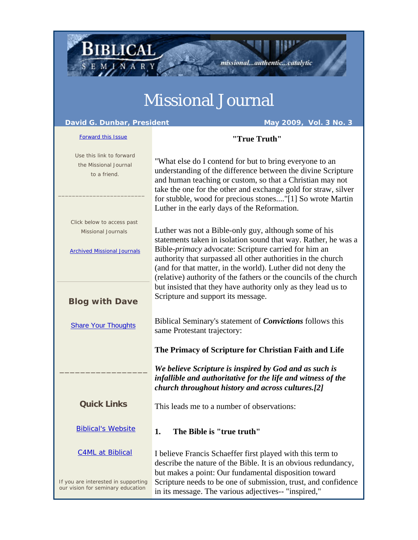## Missional Journal

匪

missional...authentic...catalytic

**BIBLICAL** 

SEMINARY

| David G. Dunbar, President<br>May 2009, Vol. 3 No. 3                                          |                                                                                                                                                                                                                                                                                                                                                                                              |
|-----------------------------------------------------------------------------------------------|----------------------------------------------------------------------------------------------------------------------------------------------------------------------------------------------------------------------------------------------------------------------------------------------------------------------------------------------------------------------------------------------|
| <b>Forward this Issue</b>                                                                     | "True Truth"                                                                                                                                                                                                                                                                                                                                                                                 |
| Use this link to forward<br>the Missional Journal<br>to a friend.                             | "What else do I contend for but to bring everyone to an<br>understanding of the difference between the divine Scripture<br>and human teaching or custom, so that a Christian may not<br>take the one for the other and exchange gold for straw, silver<br>for stubble, wood for precious stones"[1] So wrote Martin<br>Luther in the early days of the Reformation.                          |
| Click below to access past<br><b>Missional Journals</b><br><b>Archived Missional Journals</b> | Luther was not a Bible-only guy, although some of his<br>statements taken in isolation sound that way. Rather, he was a<br>Bible- <i>primacy</i> advocate: Scripture carried for him an<br>authority that surpassed all other authorities in the church<br>(and for that matter, in the world). Luther did not deny the<br>(relative) authority of the fathers or the councils of the church |
| <b>Blog with Dave</b>                                                                         | but insisted that they have authority only as they lead us to<br>Scripture and support its message.                                                                                                                                                                                                                                                                                          |
| <b>Share Your Thoughts</b>                                                                    | Biblical Seminary's statement of <i>Convictions</i> follows this<br>same Protestant trajectory:                                                                                                                                                                                                                                                                                              |
|                                                                                               | The Primacy of Scripture for Christian Faith and Life                                                                                                                                                                                                                                                                                                                                        |
|                                                                                               | We believe Scripture is inspired by God and as such is<br>infallible and authoritative for the life and witness of the<br>church throughout history and across cultures.[2]                                                                                                                                                                                                                  |
| <b>Quick Links</b>                                                                            | This leads me to a number of observations:                                                                                                                                                                                                                                                                                                                                                   |
| <b>Biblical's Website</b>                                                                     | The Bible is "true truth"<br>1.                                                                                                                                                                                                                                                                                                                                                              |
| <b>C4ML at Biblical</b>                                                                       | I believe Francis Schaeffer first played with this term to<br>describe the nature of the Bible. It is an obvious redundancy,<br>but makes a point: Our fundamental disposition toward                                                                                                                                                                                                        |
| If you are interested in supporting<br>our vision for seminary education                      | Scripture needs to be one of submission, trust, and confidence<br>in its message. The various adjectives-- "inspired,"                                                                                                                                                                                                                                                                       |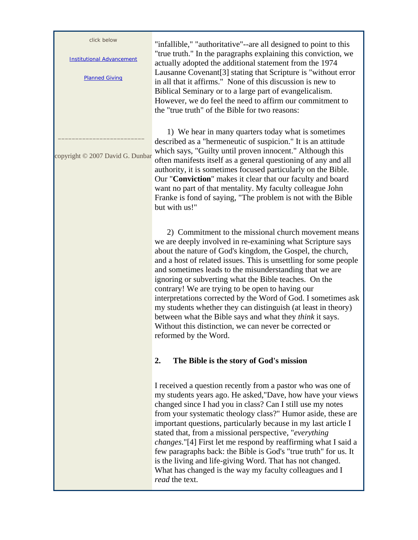click below

Institutional Advancement

Planned Giving

 $\mathcal{L}=\mathcal{L}=\mathcal{L}=\mathcal{L}=\mathcal{L}=\mathcal{L}=\mathcal{L}=\mathcal{L}=\mathcal{L}=\mathcal{L}=\mathcal{L}=\mathcal{L}=\mathcal{L}=\mathcal{L}=\mathcal{L}=\mathcal{L}=\mathcal{L}=\mathcal{L}=\mathcal{L}=\mathcal{L}=\mathcal{L}=\mathcal{L}=\mathcal{L}=\mathcal{L}=\mathcal{L}=\mathcal{L}=\mathcal{L}=\mathcal{L}=\mathcal{L}=\mathcal{L}=\mathcal{L}=\mathcal{L}=\mathcal{L}=\mathcal{L}=\mathcal{L}=\mathcal{L}=\mathcal{$ 

copyright © 2007 David G. Dunbar

"infallible," "authoritative"--are all designed to point to this "true truth." In the paragraphs explaining this conviction, we actually adopted the additional statement from the 1974 Lausanne Covenant[3] stating that Scripture is "without error in all that it affirms." None of this discussion is new to Biblical Seminary or to a large part of evangelicalism. However, we do feel the need to affirm our commitment to the "true truth" of the Bible for two reasons:

 1) We hear in many quarters today what is sometimes described as a "hermeneutic of suspicion." It is an attitude which says, "Guilty until proven innocent." Although this often manifests itself as a general questioning of any and all authority, it is sometimes focused particularly on the Bible. Our "**Conviction**" makes it clear that our faculty and board want no part of that mentality. My faculty colleague John Franke is fond of saying, "The problem is not with the Bible but with us!"

 2) Commitment to the missional church movement means we are deeply involved in re-examining what Scripture says about the nature of God's kingdom, the Gospel, the church, and a host of related issues. This is unsettling for some people and sometimes leads to the misunderstanding that we are ignoring or subverting what the Bible teaches. On the contrary! We are trying to be open to having our interpretations corrected by the Word of God. I sometimes ask my students whether they can distinguish (at least in theory) between what the Bible says and what they *think* it says. Without this distinction, we can never be corrected or reformed by the Word.

## **2. The Bible is the story of God's mission**

I received a question recently from a pastor who was one of my students years ago. He asked,"Dave, how have your views changed since I had you in class? Can I still use my notes from your systematic theology class?" Humor aside, these are important questions, particularly because in my last article I stated that, from a missional perspective, "*everything changes*."[4] First let me respond by reaffirming what I said a few paragraphs back: the Bible is God's "true truth" for us. It is the living and life-giving Word. That has not changed. What has changed is the way my faculty colleagues and I *read* the text.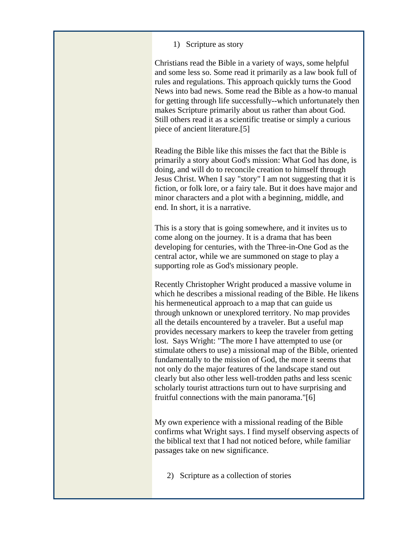1) Scripture as story

Christians read the Bible in a variety of ways, some helpful and some less so. Some read it primarily as a law book full of rules and regulations. This approach quickly turns the Good News into bad news. Some read the Bible as a how-to manual for getting through life successfully--which unfortunately then makes Scripture primarily about us rather than about God. Still others read it as a scientific treatise or simply a curious piece of ancient literature.[5]

Reading the Bible like this misses the fact that the Bible is primarily a story about God's mission: What God has done, is doing, and will do to reconcile creation to himself through Jesus Christ. When I say "story" I am not suggesting that it is fiction, or folk lore, or a fairy tale. But it does have major and minor characters and a plot with a beginning, middle, and end. In short, it is a narrative.

This is a story that is going somewhere, and it invites us to come along on the journey. It is a drama that has been developing for centuries, with the Three-in-One God as the central actor, while we are summoned on stage to play a supporting role as God's missionary people.

Recently Christopher Wright produced a massive volume in which he describes a missional reading of the Bible. He likens his hermeneutical approach to a map that can guide us through unknown or unexplored territory. No map provides all the details encountered by a traveler. But a useful map provides necessary markers to keep the traveler from getting lost. Says Wright: "The more I have attempted to use (or stimulate others to use) a missional map of the Bible, oriented fundamentally to the mission of God, the more it seems that not only do the major features of the landscape stand out clearly but also other less well-trodden paths and less scenic scholarly tourist attractions turn out to have surprising and fruitful connections with the main panorama."[6]

My own experience with a missional reading of the Bible confirms what Wright says. I find myself observing aspects of the biblical text that I had not noticed before, while familiar passages take on new significance.

2) Scripture as a collection of stories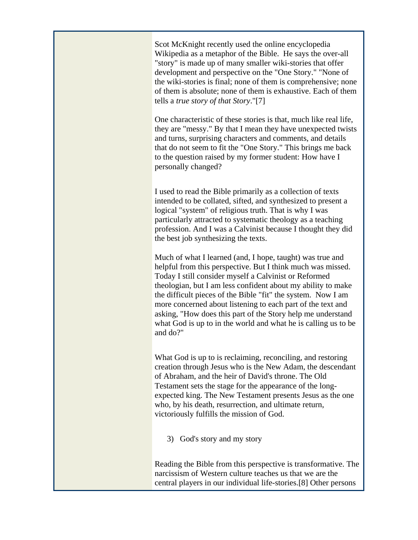Scot McKnight recently used the online encyclopedia Wikipedia as a metaphor of the Bible. He says the over-all "story" is made up of many smaller wiki-stories that offer development and perspective on the "One Story." "None of the wiki-stories is final; none of them is comprehensive; none of them is absolute; none of them is exhaustive. Each of them tells a *true story of that Story*."[7]

One characteristic of these stories is that, much like real life, they are "messy." By that I mean they have unexpected twists and turns, surprising characters and comments, and details that do not seem to fit the "One Story." This brings me back to the question raised by my former student: How have I personally changed?

I used to read the Bible primarily as a collection of texts intended to be collated, sifted, and synthesized to present a logical "system" of religious truth. That is why I was particularly attracted to systematic theology as a teaching profession. And I was a Calvinist because I thought they did the best job synthesizing the texts.

Much of what I learned (and, I hope, taught) was true and helpful from this perspective. But I think much was missed. Today I still consider myself a Calvinist or Reformed theologian, but I am less confident about my ability to make the difficult pieces of the Bible "fit" the system. Now I am more concerned about listening to each part of the text and asking, "How does this part of the Story help me understand what God is up to in the world and what he is calling us to be and do?"

What God is up to is reclaiming, reconciling, and restoring creation through Jesus who is the New Adam, the descendant of Abraham, and the heir of David's throne. The Old Testament sets the stage for the appearance of the longexpected king. The New Testament presents Jesus as the one who, by his death, resurrection, and ultimate return, victoriously fulfills the mission of God.

3) God's story and my story

Reading the Bible from this perspective is transformative. The narcissism of Western culture teaches us that we are the central players in our individual life-stories.[8] Other persons